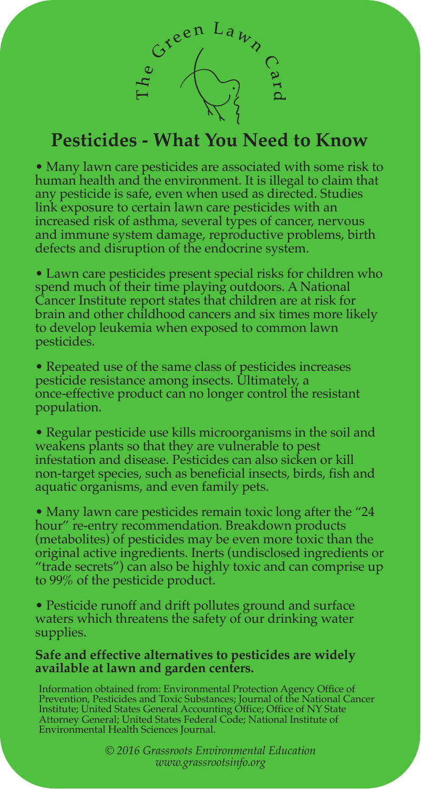

## **Pesticides - What You Need to Know**

• Many lawn care pesticides are associated with some risk to human health and the environment. It is illegal to claim that any pesticide is safe, even when used as directed. Studies link exposure to certain lawn care pesticides with an increased risk of asthma, several types of cancer, nervous and immune system damage, reproductive problems, birth defects and disruption of the endocrine system.

• Lawn care pesticides present special risks for children who spend much of their time playing outdoors. A National Cancer Institute report states that children are at risk for brain and other childhood cancers and six times more likely to develop leukemia when exposed to common lawn pesticides.

• Repeated use of the same class of pesticides increases pesticide resistance among insects. Ultimately, a once-effective product can no longer control the resistant population.

• Regular pesticide use kills microorganisms in the soil and weakens plants so that they are vulnerable to pest infestation and disease. Pesticides can also sicken or kill non-target species, such as beneficial insects, birds, fish and aquatic organisms, and even family pets.

• Many lawn care pesticides remain toxic long after the "24 hour" re-entry recommendation. Breakdown products (metabolites) of pesticides may be even more toxic than the original active ingredients. Inerts (undisclosed ingredients or "trade secrets") can also be highly toxic and can comprise up to 99% of the pesticide product.

• Pesticide runoff and drift pollutes ground and surface waters which threatens the safety of our drinking water supplies.

## **Safe and effective alternatives to pesticides are widely available at lawn and garden centers.**

Information obtained from: Environmental Protection Agency Office of<br>Prevention, Pesticides and Toxic Substances; Journal of the National Cancer<br>Institute; United States General Accounting Office; Office of NY State<br>Attorn